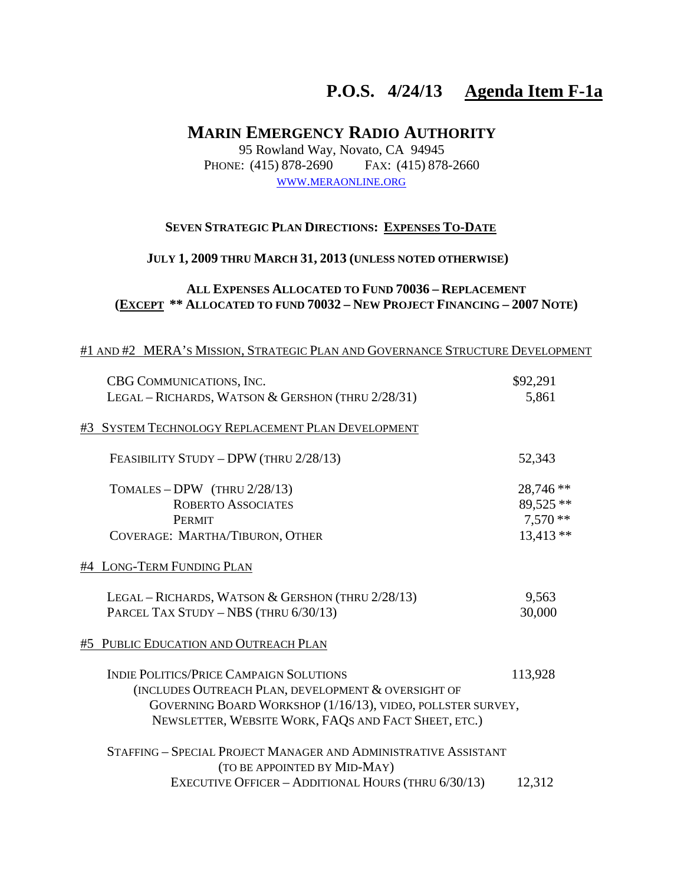# **P.O.S. 4/24/13 Agenda Item F-1a**

# **MARIN EMERGENCY RADIO AUTHORITY**

95 Rowland Way, Novato, CA 94945 PHONE: (415) 878-2690 FAX: (415) 878-2660 WWW.MERAONLINE.ORG

#### **SEVEN STRATEGIC PLAN DIRECTIONS: EXPENSES TO-DATE**

## **JULY 1, 2009 THRU MARCH 31, 2013 (UNLESS NOTED OTHERWISE)**

## **ALL EXPENSES ALLOCATED TO FUND 70036 – REPLACEMENT (EXCEPT \*\* ALLOCATED TO FUND 70032 – NEW PROJECT FINANCING – 2007 NOTE)**

#### #1 AND #2 MERA'S MISSION, STRATEGIC PLAN AND GOVERNANCE STRUCTURE DEVELOPMENT

|    | CBG COMMUNICATIONS, INC.                                        | \$92,291   |
|----|-----------------------------------------------------------------|------------|
|    | LEGAL - RICHARDS, WATSON & GERSHON (THRU 2/28/31)               | 5,861      |
| #3 | SYSTEM TECHNOLOGY REPLACEMENT PLAN DEVELOPMENT                  |            |
|    | FEASIBILITY STUDY - DPW (THRU 2/28/13)                          | 52,343     |
|    | TOMALES - DPW (THRU $2/28/13$ )                                 | 28,746 **  |
|    | <b>ROBERTO ASSOCIATES</b>                                       | 89,525 **  |
|    | <b>PERMIT</b>                                                   | $7,570**$  |
|    | COVERAGE: MARTHA/TIBURON, OTHER                                 | $13,413**$ |
|    | #4 LONG-TERM FUNDING PLAN                                       |            |
|    | LEGAL - RICHARDS, WATSON & GERSHON (THRU 2/28/13)               | 9,563      |
|    | PARCEL TAX STUDY - NBS (THRU 6/30/13)                           | 30,000     |
| #5 | PUBLIC EDUCATION AND OUTREACH PLAN                              |            |
|    | <b>INDIE POLITICS/PRICE CAMPAIGN SOLUTIONS</b>                  | 113,928    |
|    | (INCLUDES OUTREACH PLAN, DEVELOPMENT & OVERSIGHT OF             |            |
|    | GOVERNING BOARD WORKSHOP (1/16/13), VIDEO, POLLSTER SURVEY,     |            |
|    | NEWSLETTER, WEBSITE WORK, FAQS AND FACT SHEET, ETC.)            |            |
|    | STAFFING - SPECIAL PROJECT MANAGER AND ADMINISTRATIVE ASSISTANT |            |
|    | (TO BE APPOINTED BY MID-MAY)                                    |            |
|    | EXECUTIVE OFFICER - ADDITIONAL HOURS (THRU 6/30/13)             | 12,312     |